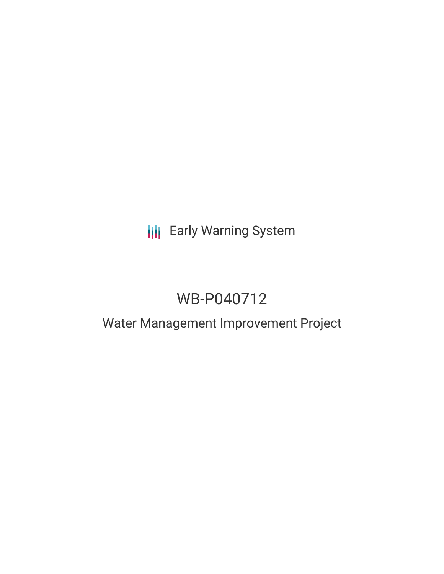# **III** Early Warning System

# WB-P040712

## Water Management Improvement Project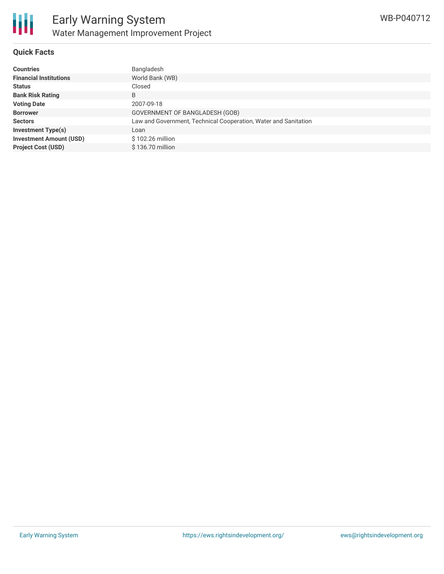

#### **Quick Facts**

| <b>Countries</b>               | Bangladesh                                                      |
|--------------------------------|-----------------------------------------------------------------|
| <b>Financial Institutions</b>  | World Bank (WB)                                                 |
| <b>Status</b>                  | Closed                                                          |
| <b>Bank Risk Rating</b>        | B                                                               |
| <b>Voting Date</b>             | 2007-09-18                                                      |
| <b>Borrower</b>                | GOVERNMENT OF BANGLADESH (GOB)                                  |
| <b>Sectors</b>                 | Law and Government, Technical Cooperation, Water and Sanitation |
| <b>Investment Type(s)</b>      | Loan                                                            |
| <b>Investment Amount (USD)</b> | \$102.26 million                                                |
| <b>Project Cost (USD)</b>      | \$136.70 million                                                |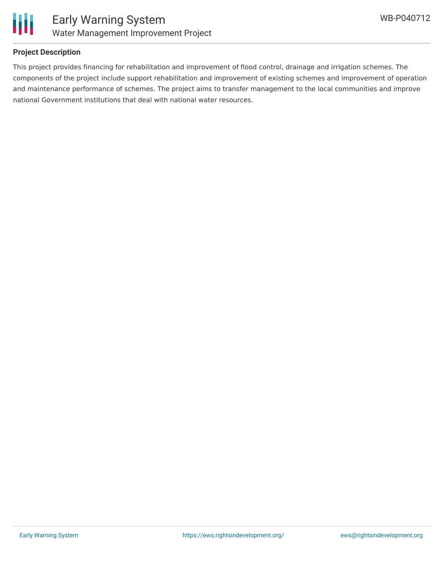

### **Project Description**

This project provides financing for rehabilitation and improvement of flood control, drainage and irrigation schemes. The components of the project include support rehabilitation and improvement of existing schemes and improvement of operation and maintenance performance of schemes. The project aims to transfer management to the local communities and improve national Government institutions that deal with national water resources.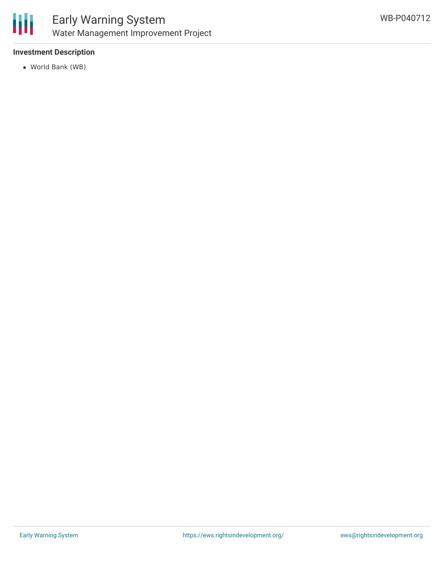

### **Investment Description**

World Bank (WB)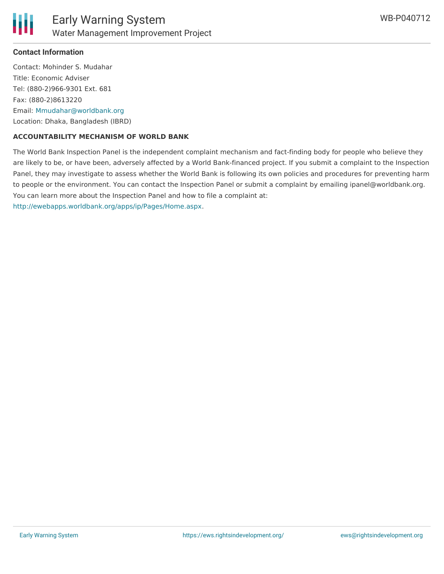

#### **Contact Information**

Contact: Mohinder S. Mudahar Title: Economic Adviser Tel: (880-2)966-9301 Ext. 681 Fax: (880-2)8613220 Email: [Mmudahar@worldbank.org](mailto:Mmudahar@worldbank.org) Location: Dhaka, Bangladesh (IBRD)

#### **ACCOUNTABILITY MECHANISM OF WORLD BANK**

The World Bank Inspection Panel is the independent complaint mechanism and fact-finding body for people who believe they are likely to be, or have been, adversely affected by a World Bank-financed project. If you submit a complaint to the Inspection Panel, they may investigate to assess whether the World Bank is following its own policies and procedures for preventing harm to people or the environment. You can contact the Inspection Panel or submit a complaint by emailing ipanel@worldbank.org. You can learn more about the Inspection Panel and how to file a complaint at: <http://ewebapps.worldbank.org/apps/ip/Pages/Home.aspx>.